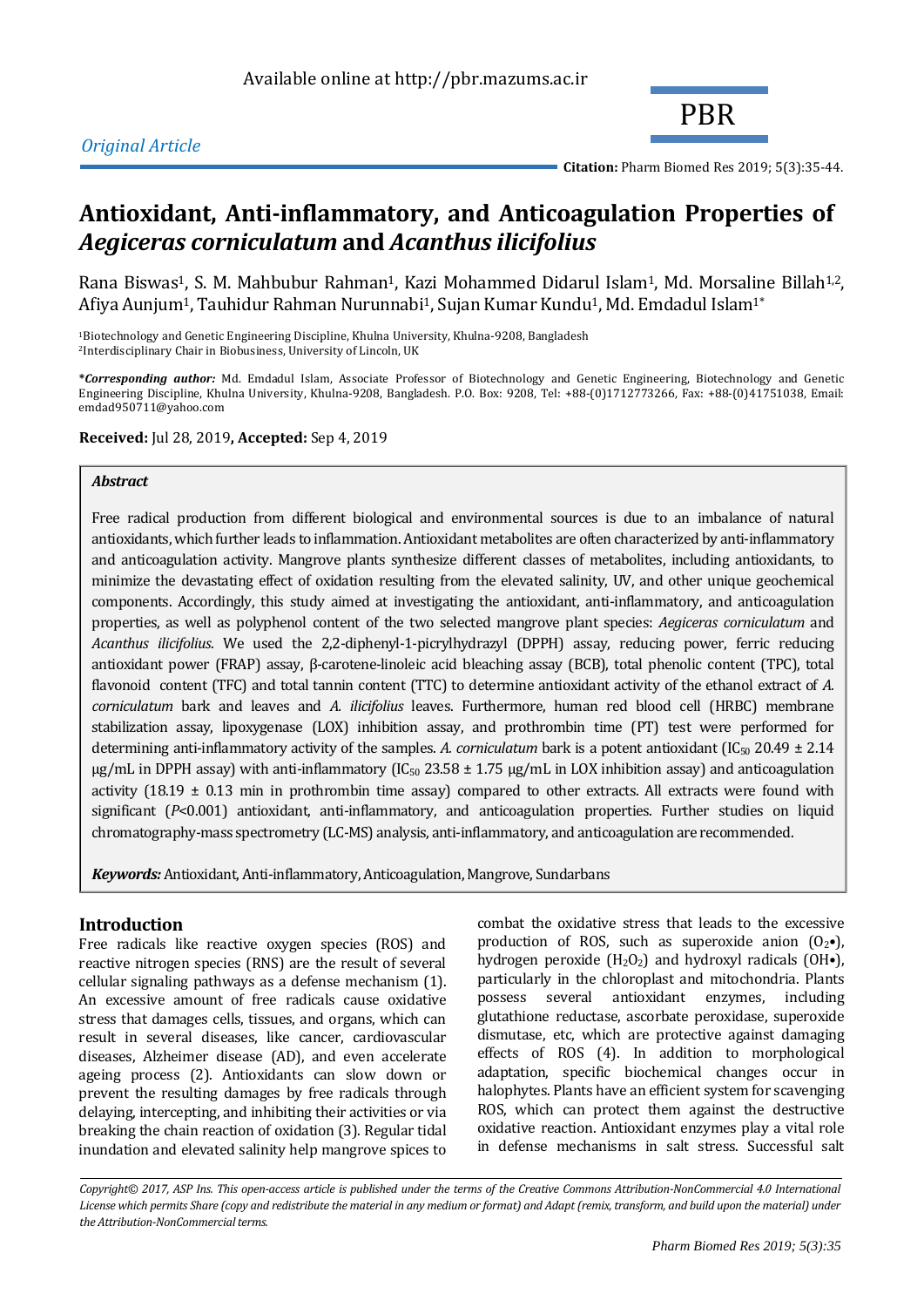

**Citation:** Pharm Biomed Res 2019; 5(3):35-44.

# **Antioxidant, Anti-inflammatory, and Anticoagulation Properties of**  *Aegiceras corniculatum* **and** *Acanthus ilicifolius*

Rana Biswas<sup>1</sup>, S. M. Mahbubur Rahman<sup>1</sup>, Kazi Mohammed Didarul Islam<sup>1</sup>, Md. Morsaline Billah<sup>1,2</sup>, Afiya Aunjum<sup>1</sup>, Tauhidur Rahman Nurunnabi<sup>1</sup>, Sujan Kumar Kundu<sup>1</sup>, Md. Emdadul Islam<sup>1\*</sup>

<sup>1</sup>Biotechnology and Genetic Engineering Discipline, Khulna University, Khulna-9208, Bangladesh <sup>2</sup>Interdisciplinary Chair in Biobusiness, University of Lincoln, UK

**\****Corresponding author:* Md. Emdadul Islam, Associate Professor of Biotechnology and Genetic Engineering, Biotechnology and Genetic Engineering Discipline, Khulna University, Khulna-9208, Bangladesh. P.O. Box: 9208, Tel: +88-(0)1712773266, Fax: +88-(0)41751038, Email: emdad950711@yahoo.com

**Received:** Jul 28, 2019**, Accepted:** Sep 4, 2019

# *Abstract*

Free radical production from different biological and environmental sources is due to an imbalance of natural antioxidants, which further leads to inflammation. Antioxidant metabolites are often characterized by anti-inflammatory and anticoagulation activity. Mangrove plants synthesize different classes of metabolites, including antioxidants, to minimize the devastating effect of oxidation resulting from the elevated salinity, UV, and other unique geochemical components. Accordingly, this study aimed at investigating the antioxidant, anti-inflammatory, and anticoagulation properties, as well as polyphenol content of the two selected mangrove plant species: *Aegiceras corniculatum* and *Acanthus ilicifolius*. We used the 2,2-diphenyl-1-picrylhydrazyl (DPPH) assay, reducing power, ferric reducing antioxidant power (FRAP) assay, β-carotene-linoleic acid bleaching assay (BCB), total phenolic content (TPC), total flavonoid content (TFC) and total tannin content (TTC) to determine antioxidant activity of the ethanol extract of *A. corniculatum* bark and leaves and *A. ilicifolius* leaves. Furthermore, human red blood cell (HRBC) membrane stabilization assay, lipoxygenase (LOX) inhibition assay, and prothrombin time (PT) test were performed for determining anti-inflammatory activity of the samples. A. corniculatum bark is a potent antioxidant  $(IC_{50} 20.49 \pm 2.14)$  $\mu$ g/mL in DPPH assay) with anti-inflammatory (IC<sub>50</sub> 23.58 ± 1.75  $\mu$ g/mL in LOX inhibition assay) and anticoagulation activity (18.19  $\pm$  0.13 min in prothrombin time assay) compared to other extracts. All extracts were found with significant (*P*<0.001) antioxidant, anti-inflammatory, and anticoagulation properties. Further studies on liquid chromatography-mass spectrometry (LC-MS) analysis, anti-inflammatory, and anticoagulation are recommended.

*Keywords:* Antioxidant, Anti-inflammatory, Anticoagulation, Mangrove, Sundarbans

# **Introduction**

Free radicals like reactive oxygen species (ROS) and reactive nitrogen species (RNS) are the result of several cellular signaling pathways as a defense mechanism (1). An excessive amount of free radicals cause oxidative stress that damages cells, tissues, and organs, which can result in several diseases, like cancer, cardiovascular diseases, Alzheimer disease (AD), and even accelerate ageing process (2). Antioxidants can slow down or prevent the resulting damages by free radicals through delaying, intercepting, and inhibiting their activities or via breaking the chain reaction of oxidation (3). Regular tidal inundation and elevated salinity help mangrove spices to

combat the oxidative stress that leads to the excessive production of ROS, such as superoxide anion  $(0_2 \bullet)$ , hydrogen peroxide  $(H_2O_2)$  and hydroxyl radicals  $(OH\bullet)$ , particularly in the chloroplast and mitochondria. Plants possess several antioxidant enzymes, including glutathione reductase, ascorbate peroxidase, superoxide dismutase, etc, which are protective against damaging effects of ROS (4). In addition to morphological adaptation, specific biochemical changes occur in halophytes. Plants have an efficient system for scavenging ROS, which can protect them against the destructive oxidative reaction. Antioxidant enzymes play a vital role in defense mechanisms in salt stress. Successful salt

*Copyright© 2017, ASP Ins. This open-access article is published under the terms of the Creative Commons Attribution-NonCommercial 4.0 International*  License which permits Share (copy and redistribute the material in any medium or format) and Adapt (remix, transform, and build upon the material) under *the Attribution-NonCommercial terms.*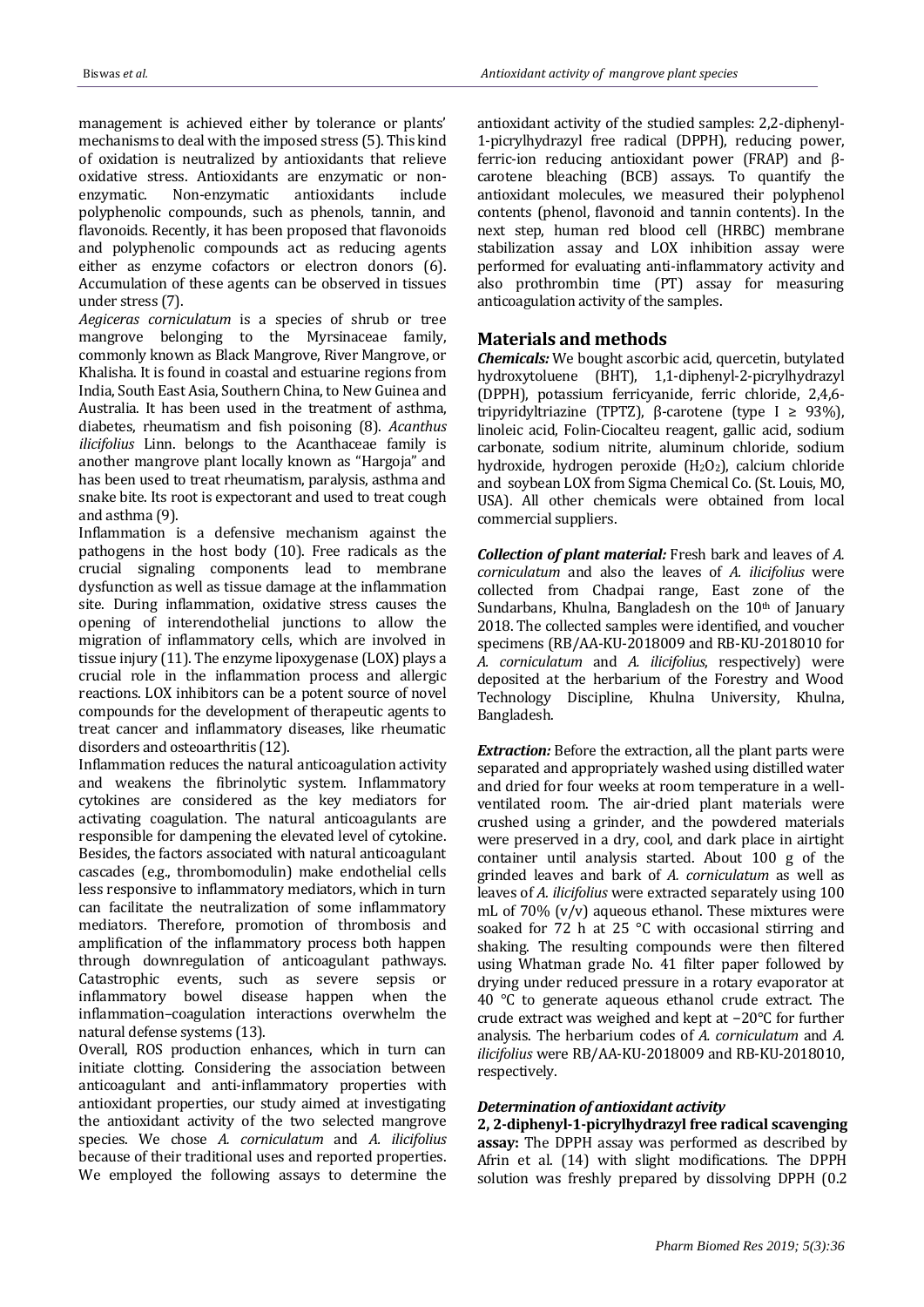management is achieved either by tolerance or plants' mechanisms to deal with the imposed stress (5). This kind of oxidation is neutralized by antioxidants that relieve oxidative stress. Antioxidants are enzymatic or nonenzymatic. Non-enzymatic antioxidants include polyphenolic compounds, such as phenols, tannin, and flavonoids. Recently, it has been proposed that flavonoids and polyphenolic compounds act as reducing agents either as enzyme cofactors or electron donors (6). Accumulation of these agents can be observed in tissues under stress (7).

*Aegiceras corniculatum* is a species of shrub or tree mangrove belonging to the Myrsinaceae family, commonly known as Black Mangrove, River Mangrove, or Khalisha. It is found in coastal and estuarine regions from India, South East Asia, Southern China, to New Guinea and Australia. It has been used in the treatment of asthma, diabetes, rheumatism and fish poisoning (8). *Acanthus ilicifolius* Linn. belongs to the Acanthaceae family is another mangrove plant locally known as "Hargoja" and has been used to treat rheumatism, paralysis, asthma and snake bite. Its root is expectorant and used to treat cough and asthma (9).

Inflammation is a defensive mechanism against the pathogens in the host body (10). Free radicals as the crucial signaling components lead to membrane dysfunction as well as tissue damage at the inflammation site. During inflammation, oxidative stress causes the opening of interendothelial junctions to allow the migration of inflammatory cells, which are involved in tissue injury (11). The enzyme lipoxygenase (LOX) plays a crucial role in the inflammation process and allergic reactions. LOX inhibitors can be a potent source of novel compounds for the development of therapeutic agents to treat cancer and inflammatory diseases, like rheumatic disorders and osteoarthritis (12).

Inflammation reduces the natural anticoagulation activity and weakens the fibrinolytic system. Inflammatory cytokines are considered as the key mediators for activating coagulation. The natural anticoagulants are responsible for dampening the elevated level of cytokine. Besides, the factors associated with natural anticoagulant cascades (e.g., thrombomodulin) make endothelial cells less responsive to inflammatory mediators, which in turn can facilitate the neutralization of some inflammatory mediators. Therefore, promotion of thrombosis and amplification of the inflammatory process both happen through downregulation of anticoagulant pathways. Catastrophic events, such as severe sepsis or inflammatory bowel disease happen when the inflammation–coagulation interactions overwhelm the natural defense systems (13).

Overall, ROS production enhances, which in turn can initiate clotting. Considering the association between anticoagulant and anti-inflammatory properties with antioxidant properties, our study aimed at investigating the antioxidant activity of the two selected mangrove species. We chose *A. corniculatum* and *A. ilicifolius* because of their traditional uses and reported properties. We employed the following assays to determine the

antioxidant activity of the studied samples: 2,2-diphenyl-1-picrylhydrazyl free radical (DPPH), reducing power, ferric-ion reducing antioxidant power (FRAP) and βcarotene bleaching (BCB) assays. To quantify the antioxidant molecules, we measured their polyphenol contents (phenol, flavonoid and tannin contents). In the next step, human red blood cell (HRBC) membrane stabilization assay and LOX inhibition assay were performed for evaluating anti-inflammatory activity and also prothrombin time (PT) assay for measuring anticoagulation activity of the samples.

# **Materials and methods**

*Chemicals:* We bought ascorbic acid, quercetin, butylated hydroxytoluene (BHT), 1,1-diphenyl-2-picrylhydrazyl (DPPH), potassium ferricyanide, ferric chloride, 2,4,6 tripyridyltriazine (TPTZ), β-carotene (type I ≥ 93%), linoleic acid, Folin-Ciocalteu reagent, gallic acid, sodium carbonate, sodium nitrite, aluminum chloride, sodium hydroxide, hydrogen peroxide  $(H_2O_2)$ , calcium chloride and soybean LOX from Sigma Chemical Co. (St. Louis, MO, USA). All other chemicals were obtained from local commercial suppliers.

*Collection of plant material:* Fresh bark and leaves of *A. corniculatum* and also the leaves of *A. ilicifolius* were collected from Chadpai range, East zone of the Sundarbans, Khulna, Bangladesh on the  $10<sup>th</sup>$  of January 2018. The collected samples were identified, and voucher specimens (RB/AA-KU-2018009 and RB-KU-2018010 for *A. corniculatum* and *A. ilicifolius*, respectively) were deposited at the herbarium of the Forestry and Wood Technology Discipline, Khulna University, Khulna, Bangladesh.

*Extraction:* Before the extraction, all the plant parts were separated and appropriately washed using distilled water and dried for four weeks at room temperature in a wellventilated room. The air-dried plant materials were crushed using a grinder, and the powdered materials were preserved in a dry, cool, and dark place in airtight container until analysis started. About 100 g of the grinded leaves and bark of *A. corniculatum* as well as leaves of *A. ilicifolius* were extracted separately using 100 mL of 70% (v/v) aqueous ethanol. These mixtures were soaked for 72 h at 25 °C with occasional stirring and shaking. The resulting compounds were then filtered using Whatman grade No. 41 filter paper followed by drying under reduced pressure in a rotary evaporator at 40 °C to generate aqueous ethanol crude extract. The crude extract was weighed and kept at −20°C for further analysis. The herbarium codes of *A. corniculatum* and *A. ilicifolius* were RB/AA-KU-2018009 and RB-KU-2018010, respectively.

## *Determination of antioxidant activity*

**2, 2-diphenyl-1-picrylhydrazyl free radical scavenging assay:** The DPPH assay was performed as described by Afrin et al. (14) with slight modifications. The DPPH solution was freshly prepared by dissolving DPPH (0.2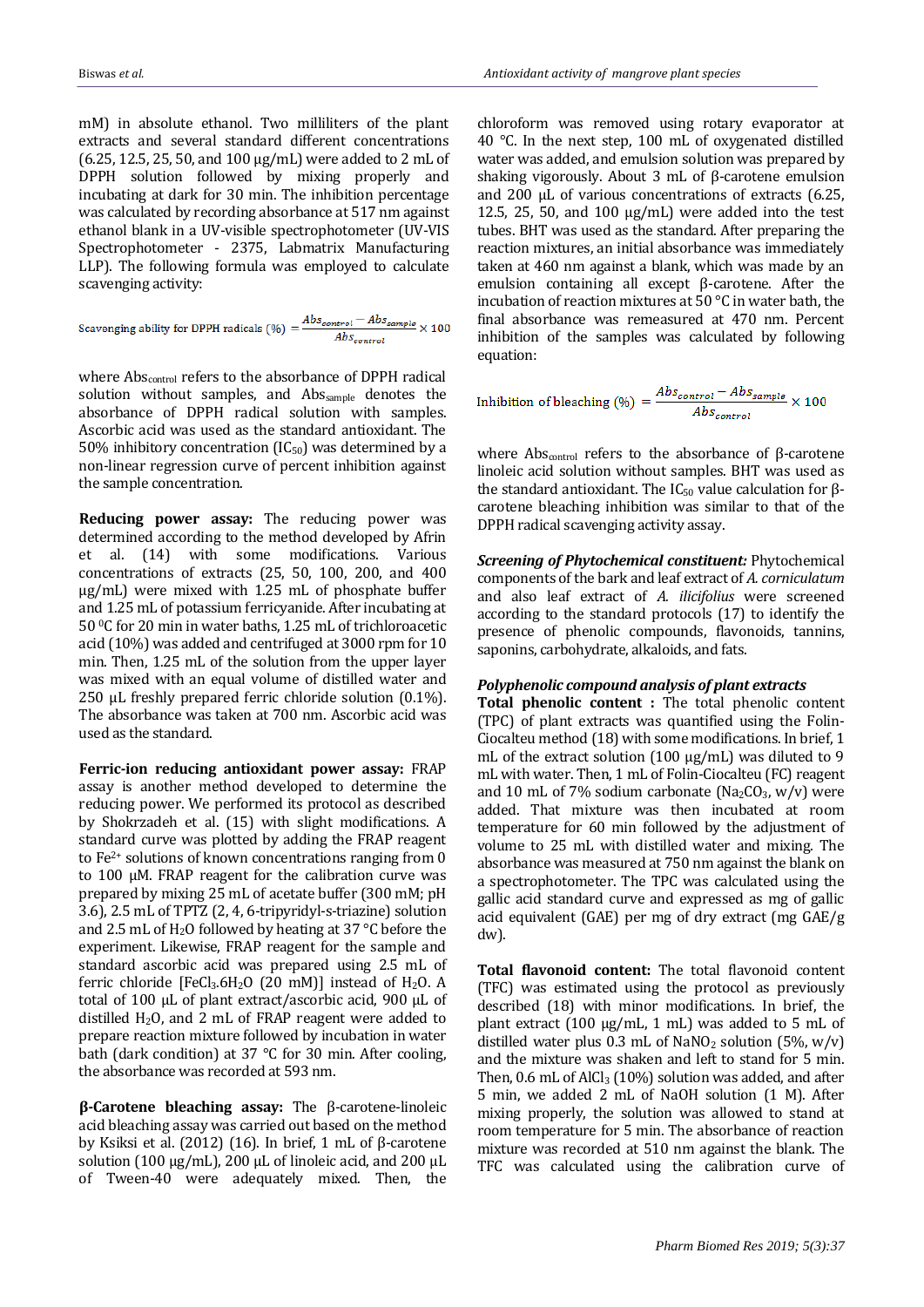mM) in absolute ethanol. Two milliliters of the plant extracts and several standard different concentrations (6.25, 12.5, 25, 50, and 100 µg/mL) were added to 2 mL of DPPH solution followed by mixing properly and incubating at dark for 30 min. The inhibition percentage was calculated by recording absorbance at 517 nm against ethanol blank in a UV-visible spectrophotometer (UV-VIS Spectrophotometer - 2375, Labmatrix Manufacturing LLP). The following formula was employed to calculate scavenging activity:

Scavenging ability for DPPH radicals (%) = 
$$
\frac{Abs_{control} - Abs_{sample}}{Abs_{control}} \times 100
$$

where Abs<sub>control</sub> refers to the absorbance of DPPH radical solution without samples, and Abssample denotes the absorbance of DPPH radical solution with samples. Ascorbic acid was used as the standard antioxidant. The 50% inhibitory concentration  $(IC_{50})$  was determined by a non-linear regression curve of percent inhibition against the sample concentration.

**Reducing power assay:** The reducing power was determined according to the method developed by Afrin et al. (14) with some modifications. Various concentrations of extracts (25, 50, 100, 200, and 400 µg/mL) were mixed with 1.25 mL of phosphate buffer and 1.25 mL of potassium ferricyanide. After incubating at 50 <sup>0</sup>C for 20 min in water baths, 1.25 mL of trichloroacetic acid (10%) was added and centrifuged at 3000 rpm for 10 min. Then, 1.25 mL of the solution from the upper layer was mixed with an equal volume of distilled water and 250 µL freshly prepared ferric chloride solution (0.1%). The absorbance was taken at 700 nm. Ascorbic acid was used as the standard.

**Ferric-ion reducing antioxidant power assay:** FRAP assay is another method developed to determine the reducing power. We performed its protocol as described by Shokrzadeh et al. (15) with slight modifications. A standard curve was plotted by adding the FRAP reagent to Fe2+ solutions of known concentrations ranging from 0 to 100 µM. FRAP reagent for the calibration curve was prepared by mixing 25 mL of acetate buffer (300 mM; pH 3.6), 2.5 mL of TPTZ (2, 4, 6-tripyridyl-s-triazine) solution and 2.5 mL of  $H_2O$  followed by heating at 37 °C before the experiment. Likewise, FRAP reagent for the sample and standard ascorbic acid was prepared using 2.5 mL of ferric chloride  $[FeCl<sub>3</sub>.6H<sub>2</sub>O (20 mM)]$  instead of H<sub>2</sub>O. A total of 100 µL of plant extract/ascorbic acid, 900 µL of distilled  $H_2O$ , and 2 mL of FRAP reagent were added to prepare reaction mixture followed by incubation in water bath (dark condition) at 37 °C for 30 min. After cooling, the absorbance was recorded at 593 nm.

**β-Carotene bleaching assay:** The β-carotene-linoleic acid bleaching assay was carried out based on the method by Ksiksi et al. (2012) (16). In brief, 1 mL of β-carotene solution (100  $\mu$ g/mL), 200  $\mu$ L of linoleic acid, and 200  $\mu$ L of Tween-40 were adequately mixed. Then, the

chloroform was removed using rotary evaporator at 40 °C. In the next step, 100 mL of oxygenated distilled water was added, and emulsion solution was prepared by shaking vigorously. About 3 mL of β-carotene emulsion and 200 µL of various concentrations of extracts (6.25, 12.5, 25, 50, and 100  $\mu$ g/mL) were added into the test tubes. BHT was used as the standard. After preparing the reaction mixtures, an initial absorbance was immediately taken at 460 nm against a blank, which was made by an emulsion containing all except β-carotene. After the incubation of reaction mixtures at 50 °C in water bath, the final absorbance was remeasured at 470 nm. Percent inhibition of the samples was calculated by following equation:

Inhibition of bleaching (
$$
\%
$$
) =  $\frac{Abs_{control} - Abs_{sample}}{Abs_{control}} \times 100$ 

where Abs<sub>control</sub> refers to the absorbance of β-carotene linoleic acid solution without samples. BHT was used as the standard antioxidant. The IC<sub>50</sub> value calculation for βcarotene bleaching inhibition was similar to that of the DPPH radical scavenging activity assay.

*Screening of Phytochemical constituent:* Phytochemical components of the bark and leaf extract of *A. corniculatum* and also leaf extract of *A. ilicifolius* were screened according to the standard protocols (17) to identify the presence of phenolic compounds, flavonoids, tannins, saponins, carbohydrate, alkaloids, and fats.

#### *Polyphenolic compound analysis of plant extracts*

**Total phenolic content :** The total phenolic content (TPC) of plant extracts was quantified using the Folin-Ciocalteu method (18) with some modifications. In brief, 1 mL of the extract solution (100  $\mu$ g/mL) was diluted to 9 mL with water. Then, 1 mL of Folin-Ciocalteu (FC) reagent and 10 mL of 7% sodium carbonate (Na<sub>2</sub>CO<sub>3</sub>, w/v) were added. That mixture was then incubated at room temperature for 60 min followed by the adjustment of volume to 25 mL with distilled water and mixing. The absorbance was measured at 750 nm against the blank on a spectrophotometer. The TPC was calculated using the gallic acid standard curve and expressed as mg of gallic acid equivalent (GAE) per mg of dry extract (mg GAE/g dw).

**Total flavonoid content:** The total flavonoid content (TFC) was estimated using the protocol as previously described (18) with minor modifications. In brief, the plant extract (100 µg/mL, 1 mL) was added to 5 mL of distilled water plus  $0.3$  mL of NaNO<sub>2</sub> solution (5%, w/y) and the mixture was shaken and left to stand for 5 min. Then,  $0.6$  mL of AlCl<sub>3</sub> (10%) solution was added, and after 5 min, we added 2 mL of NaOH solution (1 M). After mixing properly, the solution was allowed to stand at room temperature for 5 min. The absorbance of reaction mixture was recorded at 510 nm against the blank. The TFC was calculated using the calibration curve of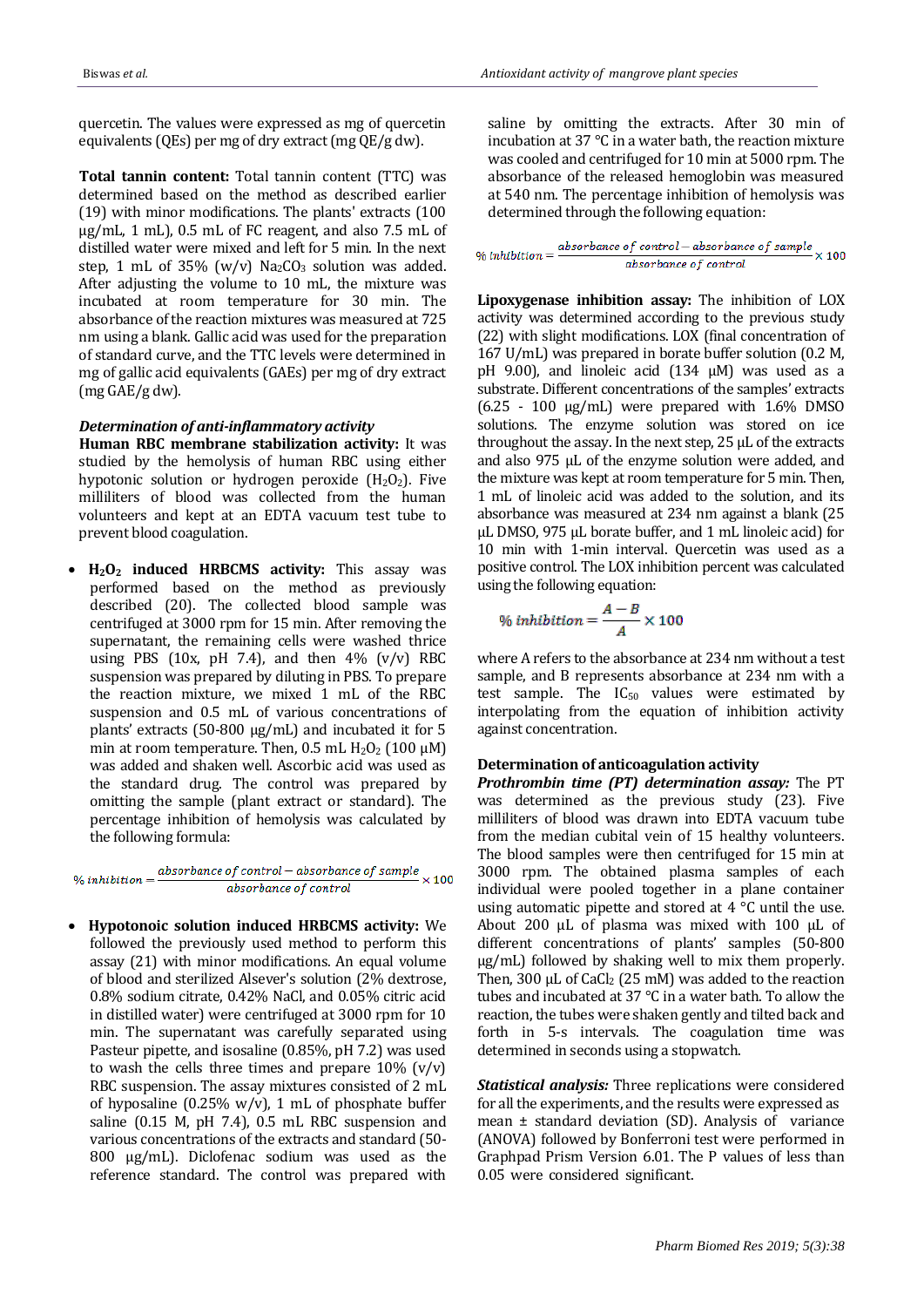quercetin. The values were expressed as mg of quercetin equivalents (QEs) per mg of dry extract (mg QE/g dw).

**Total tannin content:** Total tannin content (TTC) was determined based on the method as described earlier (19) with minor modifications. The plants' extracts (100 µg/mL, 1 mL), 0.5 mL of FC reagent, and also 7.5 mL of distilled water were mixed and left for 5 min. In the next step, 1 mL of 35%  $(w/v)$  Na<sub>2</sub>CO<sub>3</sub> solution was added. After adjusting the volume to 10 mL, the mixture was incubated at room temperature for 30 min. The absorbance of the reaction mixtures was measured at 725 nm using a blank. Gallic acid was used for the preparation of standard curve, and the TTC levels were determined in mg of gallic acid equivalents (GAEs) per mg of dry extract (mg GAE/g dw).

#### *Determination of anti-inflammatory activity*

**Human RBC membrane stabilization activity:** It was studied by the hemolysis of human RBC using either hypotonic solution or hydrogen peroxide  $(H_2O_2)$ . Five milliliters of blood was collected from the human volunteers and kept at an EDTA vacuum test tube to prevent blood coagulation.

 **H2O<sup>2</sup> induced HRBCMS activity:** This assay was performed based on the method as previously described (20). The collected blood sample was centrifuged at 3000 rpm for 15 min. After removing the supernatant, the remaining cells were washed thrice using PBS (10x, pH 7.4), and then  $4\%$  (v/v) RBC suspension was prepared by diluting in PBS. To prepare the reaction mixture, we mixed 1 mL of the RBC suspension and 0.5 mL of various concentrations of plants' extracts (50-800 μg/mL) and incubated it for 5 min at room temperature. Then, 0.5 mL  $H_2O_2$  (100  $\mu$ M) was added and shaken well. Ascorbic acid was used as the standard drug. The control was prepared by omitting the sample (plant extract or standard). The percentage inhibition of hemolysis was calculated by the following formula:

% inhibition =  $\frac{absorbance\ of\ control - absorbance\ of\ sample}{observed\ cost\ on\ 100} \times 100$ absorbance of control

 **Hypotonoic solution induced HRBCMS activity:** We followed the previously used method to perform this assay (21) with minor modifications. An equal volume of blood and sterilized Alsever's solution (2% dextrose, 0.8% sodium citrate, 0.42% NaCl, and 0.05% citric acid in distilled water) were centrifuged at 3000 rpm for 10 min. The supernatant was carefully separated using Pasteur pipette, and isosaline (0.85%, pH 7.2) was used to wash the cells three times and prepare  $10\%$  (v/v) RBC suspension. The assay mixtures consisted of 2 mL of hyposaline (0.25%  $w/v$ ), 1 mL of phosphate buffer saline (0.15 M, pH 7.4), 0.5 mL RBC suspension and various concentrations of the extracts and standard (50- 800 μg/mL). Diclofenac sodium was used as the reference standard. The control was prepared with

saline by omitting the extracts. After 30 min of incubation at 37 °C in a water bath, the reaction mixture was cooled and centrifuged for 10 min at 5000 rpm. The absorbance of the released hemoglobin was measured at 540 nm. The percentage inhibition of hemolysis was determined through the following equation:

% inhibition =  $\frac{absorbance\ of\ control-absorbance\ of\ sample}{absorbance\ of\ control} \times 100$ 

**Lipoxygenase inhibition assay:** The inhibition of LOX activity was determined according to the previous study (22) with slight modifications. LOX (final concentration of 167 U/mL) was prepared in borate buffer solution (0.2 M, pH 9.00), and linoleic acid (134 μM) was used as a substrate. Different concentrations of the samples' extracts  $(6.25 - 100 \text{ µg/mL})$  were prepared with 1.6% DMSO solutions. The enzyme solution was stored on ice throughout the assay. In the next step, 25 μL of the extracts and also 975 μL of the enzyme solution were added, and the mixture was kept at room temperature for 5 min. Then, 1 mL of linoleic acid was added to the solution, and its absorbance was measured at 234 nm against a blank (25 μL DMSO, 975 μL borate buffer, and 1 mL linoleic acid) for 10 min with 1-min interval. Quercetin was used as a positive control. The LOX inhibition percent was calculated using the following equation:

$$
\% inhibition = \frac{A-B}{A} \times 100
$$

where A refers to the absorbance at 234 nm without a test sample, and B represents absorbance at 234 nm with a test sample. The  $IC_{50}$  values were estimated by interpolating from the equation of inhibition activity against concentration.

## **Determination of anticoagulation activity**

*Prothrombin time (PT) determination assay:* The PT was determined as the previous study (23). Five milliliters of blood was drawn into EDTA vacuum tube from the median cubital vein of 15 healthy volunteers. The blood samples were then centrifuged for 15 min at 3000 rpm. The obtained plasma samples of each individual were pooled together in a plane container using automatic pipette and stored at 4 °C until the use. About 200 µL of plasma was mixed with 100 µL of different concentrations of plants' samples (50-800 μg/mL) followed by shaking well to mix them properly. Then, 300  $\mu$ L of CaCl<sub>2</sub> (25 mM) was added to the reaction tubes and incubated at 37 °C in a water bath. To allow the reaction, the tubes were shaken gently and tilted back and forth in 5-s intervals. The coagulation time was determined in seconds using a stopwatch.

*Statistical analysis:* Three replications were considered for all the experiments, and the results were expressed as mean ± standard deviation (SD). Analysis of variance (ANOVA) followed by Bonferroni test were performed in Graphpad Prism Version 6.01. The P values of less than 0.05 were considered significant.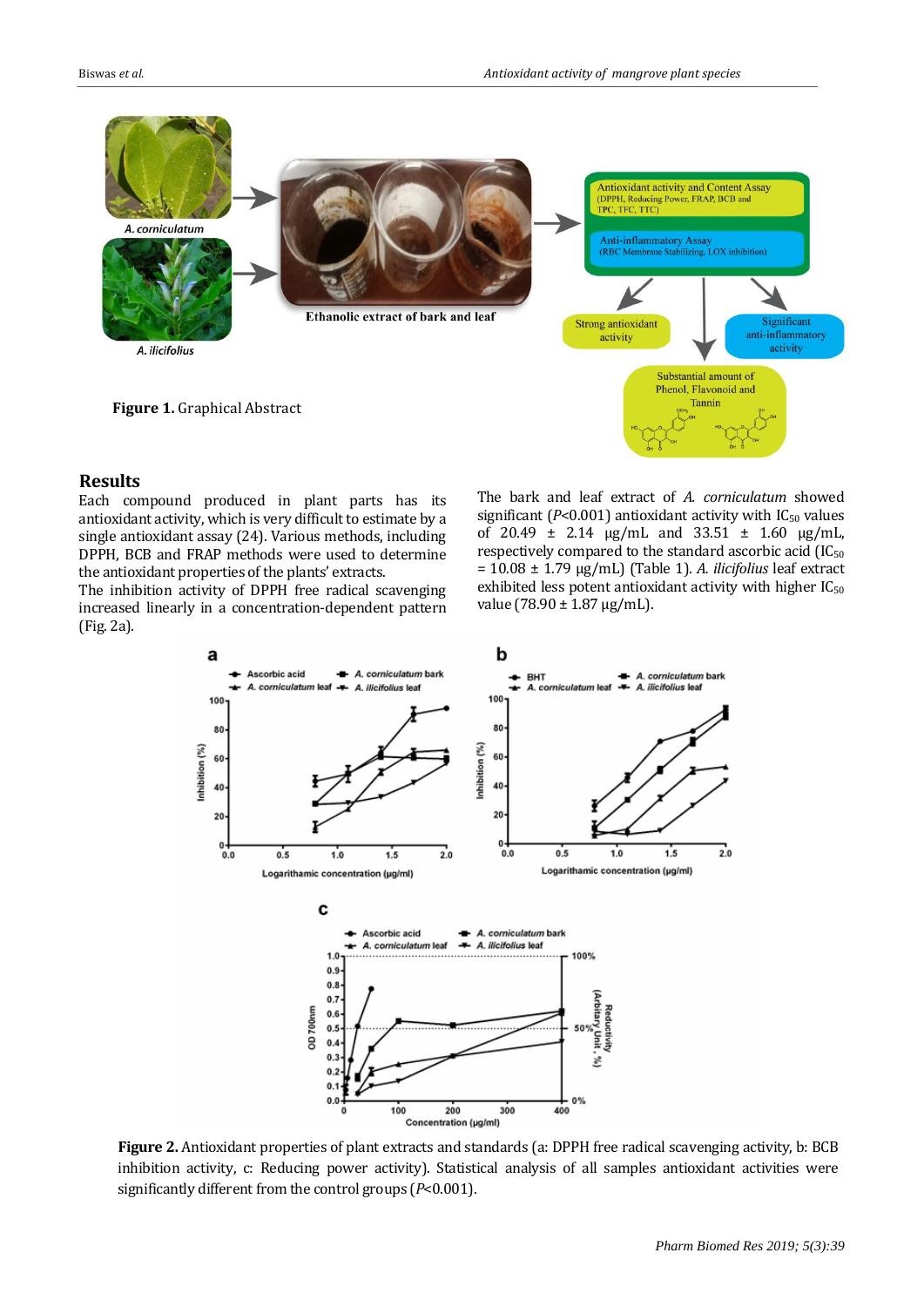

# **Results**

Each compound produced in plant parts has its antioxidant activity, which is very difficult to estimate by a single antioxidant assay (24). Various methods, including DPPH, BCB and FRAP methods were used to determine the antioxidant properties of the plants' extracts.

The inhibition activity of DPPH free radical scavenging increased linearly in a concentration-dependent pattern (Fig. 2a).

The bark and leaf extract of *A. corniculatum* showed significant  $(P<0.001)$  antioxidant activity with  $IC_{50}$  values of 20.49 ± 2.14 µg/mL and 33.51 ± 1.60 µg/mL, respectively compared to the standard ascorbic acid (IC<sup>50</sup> = 10.08 ± 1.79 µg/mL) (Table 1). *A. ilicifolius* leaf extract exhibited less potent antioxidant activity with higher  $IC_{50}$ value (78.90  $\pm$  1.87 µg/mL).



**Figure 2.** Antioxidant properties of plant extracts and standards (a: DPPH free radical scavenging activity, b: BCB inhibition activity, c: Reducing power activity). Statistical analysis of all samples antioxidant activities were significantly different from the control groups (*P*<0.001).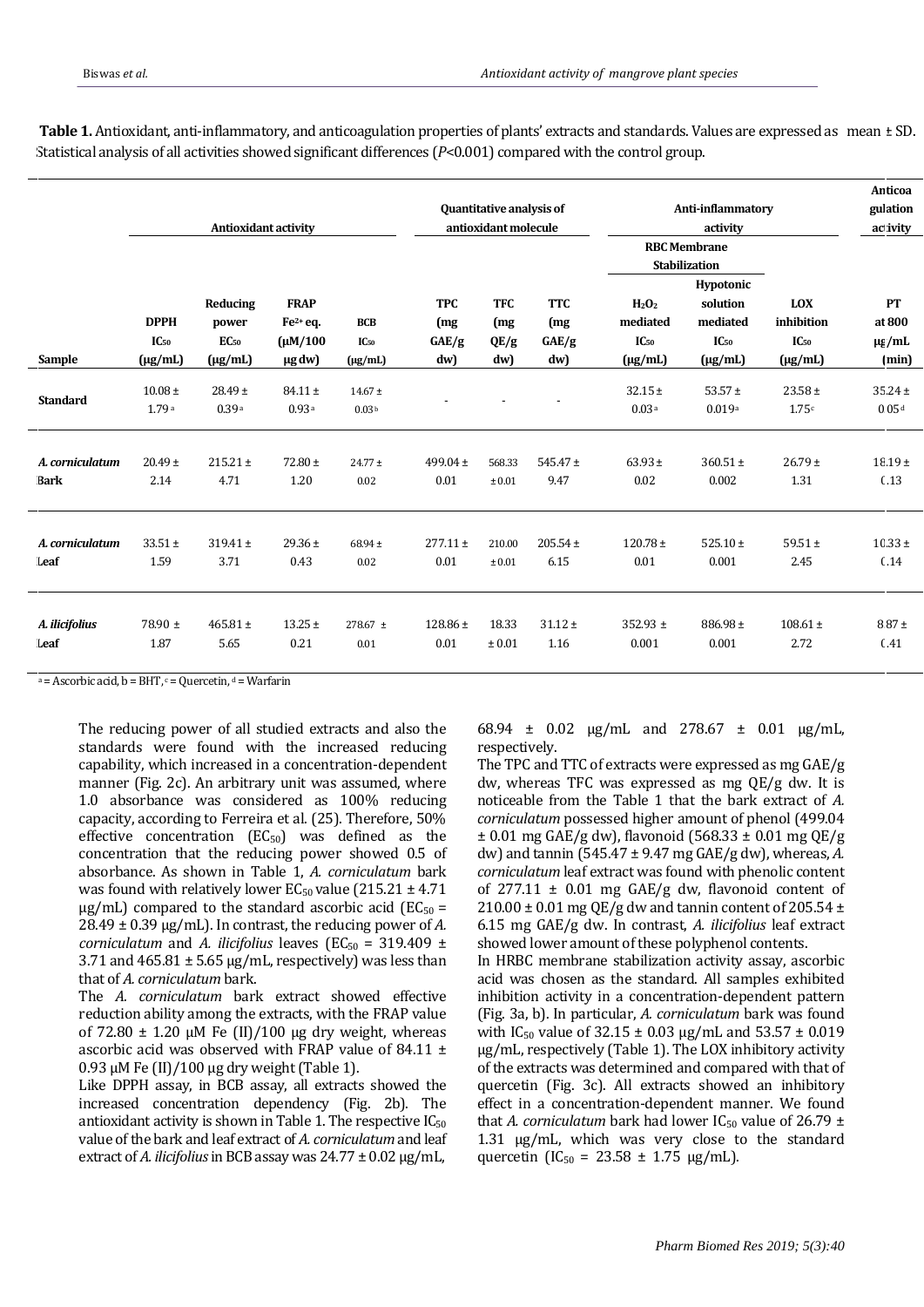|                 | <b>Antioxidant activity</b>              |                                                       |                                                           |                                         | Quantitative analysis of<br>antioxidant molecule |                                  |                                   | Anti-inflammatory<br>activity                                          |                                                                                                               |                                                       | Anticoa<br>gulation<br>ac ivity    |
|-----------------|------------------------------------------|-------------------------------------------------------|-----------------------------------------------------------|-----------------------------------------|--------------------------------------------------|----------------------------------|-----------------------------------|------------------------------------------------------------------------|---------------------------------------------------------------------------------------------------------------|-------------------------------------------------------|------------------------------------|
| Sample          | <b>DPPH</b><br>$IC_{50}$<br>$(\mu g/mL)$ | Reducing<br>power<br>EC <sub>50</sub><br>$(\mu g/mL)$ | <b>FRAP</b><br>$Fe2+$ eq.<br>$(\mu M/100)$<br>$\mu$ g dw) | <b>BCB</b><br>$IC_{50}$<br>$(\mu g/mL)$ | <b>TPC</b><br>(mg<br>GAE/g<br>dw)                | <b>TFC</b><br>(mg<br>QE/g<br>dw) | <b>TTC</b><br>(mg<br>GAE/g<br>dw) | H <sub>2</sub> O <sub>2</sub><br>mediated<br>$IC_{50}$<br>$(\mu g/mL)$ | <b>RBC</b> Membrane<br><b>Stabilization</b><br>Hypotonic<br>solution<br>mediated<br>$IC_{50}$<br>$(\mu g/mL)$ | <b>LOX</b><br>inhibition<br>$IC_{50}$<br>$(\mu g/mL)$ | PT<br>at 800<br>$\mu$ /mL<br>(min) |
| <b>Standard</b> | $10.08 \pm$<br>1.79a                     | $28.49 \pm$<br>0.39a                                  | $84.11 \pm$<br>0.93a                                      | $14.67 \pm$<br>0.03 <sup>b</sup>        |                                                  |                                  |                                   | $32.15 \pm$<br>0.03a                                                   | $53.57 \pm$<br>0.019a                                                                                         | $23.58 \pm$<br>1.75c                                  | $35.24 \pm$<br>0.05d               |
| A. corniculatum | $20.49 \pm$                              | $215.21 \pm$                                          | $72.80 \pm$                                               | $24.77 \pm$                             | $499.04 \pm$                                     | 568.33                           | $545.47 \pm$                      | $63.93 \pm$                                                            | $360.51 \pm$                                                                                                  | $26.79 \pm$                                           | $18.19 \pm$                        |
| Bark            | 2.14                                     | 4.71                                                  | 1.20                                                      | 0.02                                    | 0.01                                             | ± 0.01                           | 9.47                              | 0.02                                                                   | 0.002                                                                                                         | 1.31                                                  | 0.13                               |
| A. corniculatum | $33.51 \pm$                              | $319.41 \pm$                                          | $29.36 \pm$                                               | $68.94 \pm$                             | $277.11 \pm$                                     | 210.00                           | $205.54 \pm$                      | $120.78 \pm$                                                           | $525.10 \pm$                                                                                                  | $59.51 \pm$                                           | $10.33 \pm$                        |
| Leaf            | 1.59                                     | 3.71                                                  | 0.43                                                      | 0.02                                    | 0.01                                             | $\pm\,0.01$                      | 6.15                              | 0.01                                                                   | 0.001                                                                                                         | 2.45                                                  | 0.14                               |
| A. ilicifolius  | $78.90 \pm$                              | $465.81 \pm$                                          | $13.25 \pm$                                               | $278.67 \pm$                            | $128.86 \pm$                                     | 18.33                            | $31.12 \pm$                       | $352.93 \pm$                                                           | $886.98 \pm$                                                                                                  | $108.61 \pm$                                          | $8.87 \pm$                         |
| Leaf            | 1.87                                     | 5.65                                                  | 0.21                                                      | 0.01                                    | 0.01                                             | ± 0.01                           | 1.16                              | 0.001                                                                  | 0.001                                                                                                         | 2.72                                                  | (41)                               |

**Table 1.** Antioxidant, anti-inflammatory, and anticoagulation properties of plants' extracts and standards. Values are expressed as mean ± SD. Statistical analysis of all activities showed significant differences (*P*<0.001) compared with the control group.

 $a =$  Ascorbic acid, b = BHT,  $c =$  Quercetin,  $d =$  Warfarin

The reducing power of all studied extracts and also the standards were found with the increased reducing capability, which increased in a concentration-dependent manner (Fig. 2c). An arbitrary unit was assumed, where 1.0 absorbance was considered as 100% reducing capacity, according to Ferreira et al. (25). Therefore, 50% effective concentration  $(EC_{50})$  was defined as the concentration that the reducing power showed 0.5 of absorbance. As shown in Table 1, *A. corniculatum* bark was found with relatively lower  $EC_{50}$  value (215.21  $\pm$  4.71  $\mu$ g/mL) compared to the standard ascorbic acid (EC<sub>50</sub> = 28.49 ± 0.39 µg/mL). In contrast, the reducing power of *A. corniculatum and A. ilicifolius leaves* ( $EC_{50} = 319.409 \pm$ 3.71 and  $465.81 \pm 5.65$  µg/mL, respectively) was less than that of *A. corniculatum* bark.

The *A. corniculatum* bark extract showed effective reduction ability among the extracts, with the FRAP value of 72.80  $\pm$  1.20 µM Fe (II)/100 µg drv weight, whereas ascorbic acid was observed with FRAP value of 84.11  $\pm$  $0.93 \mu$ M Fe (II)/100  $\mu$ g dry weight (Table 1).

Like DPPH assay, in BCB assay, all extracts showed the increased concentration dependency (Fig. 2b). The antioxidant activity is shown in Table 1. The respective  $IC_{50}$ value of the bark and leaf extract of *A. corniculatum* and leaf extract of *A. ilicifolius* in BCB assay was  $24.77 \pm 0.02$   $\mu$ g/mL,

68.94 ± 0.02 µg/mL and 278.67 ± 0.01 µg/mL, respectively.

The TPC and TTC of extracts were expressed as mg GAE/g dw, whereas TFC was expressed as mg QE/g dw. It is noticeable from the Table 1 that the bark extract of *A. corniculatum* possessed higher amount of phenol (499.04  $\pm$  0.01 mg GAE/g dw), flavonoid (568.33  $\pm$  0.01 mg QE/g dw) and tannin (545.47 ± 9.47 mg GAE/g dw), whereas, *A. corniculatum* leaf extract was found with phenolic content of 277.11  $\pm$  0.01 mg GAE/g dw, flavonoid content of  $210.00 \pm 0.01$  mg QE/g dw and tannin content of 205.54  $\pm$ 6.15 mg GAE/g dw. In contrast, *A. ilicifolius* leaf extract showed lower amount of these polyphenol contents.

In HRBC membrane stabilization activity assay, ascorbic acid was chosen as the standard. All samples exhibited inhibition activity in a concentration-dependent pattern (Fig. 3a, b). In particular, *A. corniculatum* bark was found with IC<sub>50</sub> value of  $32.15 \pm 0.03$  µg/mL and  $53.57 \pm 0.019$ µg/mL, respectively (Table 1). The LOX inhibitory activity of the extracts was determined and compared with that of quercetin (Fig. 3c). All extracts showed an inhibitory effect in a concentration-dependent manner. We found that *A. corniculatum* bark had lower IC<sub>50</sub> value of 26.79  $\pm$ 1.31 µg/mL, which was very close to the standard quercetin ( $IC_{50} = 23.58 \pm 1.75 \mu g/mL$ ).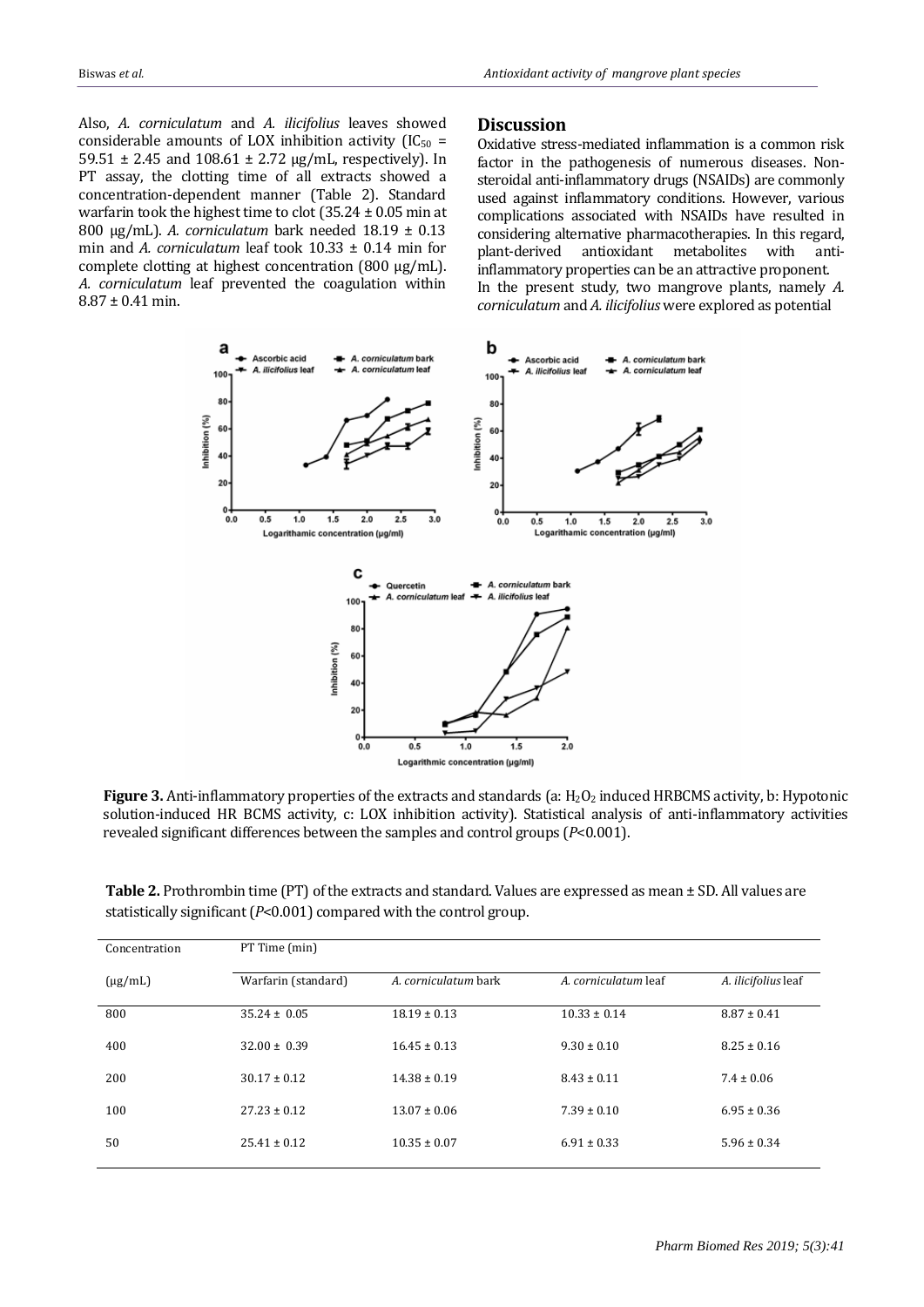Also, *A. corniculatum* and *A. ilicifolius* leaves showed considerable amounts of LOX inhibition activity ( $IC_{50}$  = 59.51 ± 2.45 and 108.61 ± 2.72 µg/mL, respectively). In PT assay, the clotting time of all extracts showed a concentration-dependent manner (Table 2). Standard warfarin took the highest time to clot  $(35.24 \pm 0.05 \text{ min at }$ 800 µg/mL). *A. corniculatum* bark needed 18.19 ± 0.13 min and *A. corniculatum* leaf took 10.33 ± 0.14 min for complete clotting at highest concentration (800 µg/mL). *A. corniculatum* leaf prevented the coagulation within  $8.87 \pm 0.41$  min.

#### **Discussion**

Oxidative stress-mediated inflammation is a common risk factor in the pathogenesis of numerous diseases. Nonsteroidal anti-inflammatory drugs (NSAIDs) are commonly used against inflammatory conditions. However, various complications associated with NSAIDs have resulted in considering alternative pharmacotherapies. In this regard, plant-derived antioxidant metabolites with antiinflammatory properties can be an attractive proponent. In the present study, two mangrove plants, namely *A. corniculatum* and *A. ilicifolius* were explored as potential



Figure 3. Anti-inflammatory properties of the extracts and standards (a: H<sub>2</sub>O<sub>2</sub> induced HRBCMS activity, b: Hypotonic solution-induced HR BCMS activity, c: LOX inhibition activity). Statistical analysis of anti-inflammatory activities revealed significant differences between the samples and control groups (*P*<0.001).

**Table 2.** Prothrombin time (PT) of the extracts and standard. Values are expressed as mean ± SD. All values are statistically significant (*P*<0.001) compared with the control group.

| Concentration | PT Time (min)       |                      |                      |                     |  |  |  |  |  |
|---------------|---------------------|----------------------|----------------------|---------------------|--|--|--|--|--|
| $(\mu g/mL)$  | Warfarin (standard) | A. corniculatum bark | A. corniculatum leaf | A. ilicifolius leaf |  |  |  |  |  |
| 800           | $35.24 \pm 0.05$    | $18.19 \pm 0.13$     | $10.33 \pm 0.14$     | $8.87 \pm 0.41$     |  |  |  |  |  |
| 400           | $32.00 \pm 0.39$    | $16.45 \pm 0.13$     | $9.30 \pm 0.10$      | $8.25 \pm 0.16$     |  |  |  |  |  |
| 200           | $30.17 \pm 0.12$    | $14.38 \pm 0.19$     | $8.43 \pm 0.11$      | $7.4 \pm 0.06$      |  |  |  |  |  |
| 100           | $27.23 \pm 0.12$    | $13.07 \pm 0.06$     | $7.39 \pm 0.10$      | $6.95 \pm 0.36$     |  |  |  |  |  |
| 50            | $25.41 \pm 0.12$    | $10.35 \pm 0.07$     | $6.91 \pm 0.33$      | $5.96 \pm 0.34$     |  |  |  |  |  |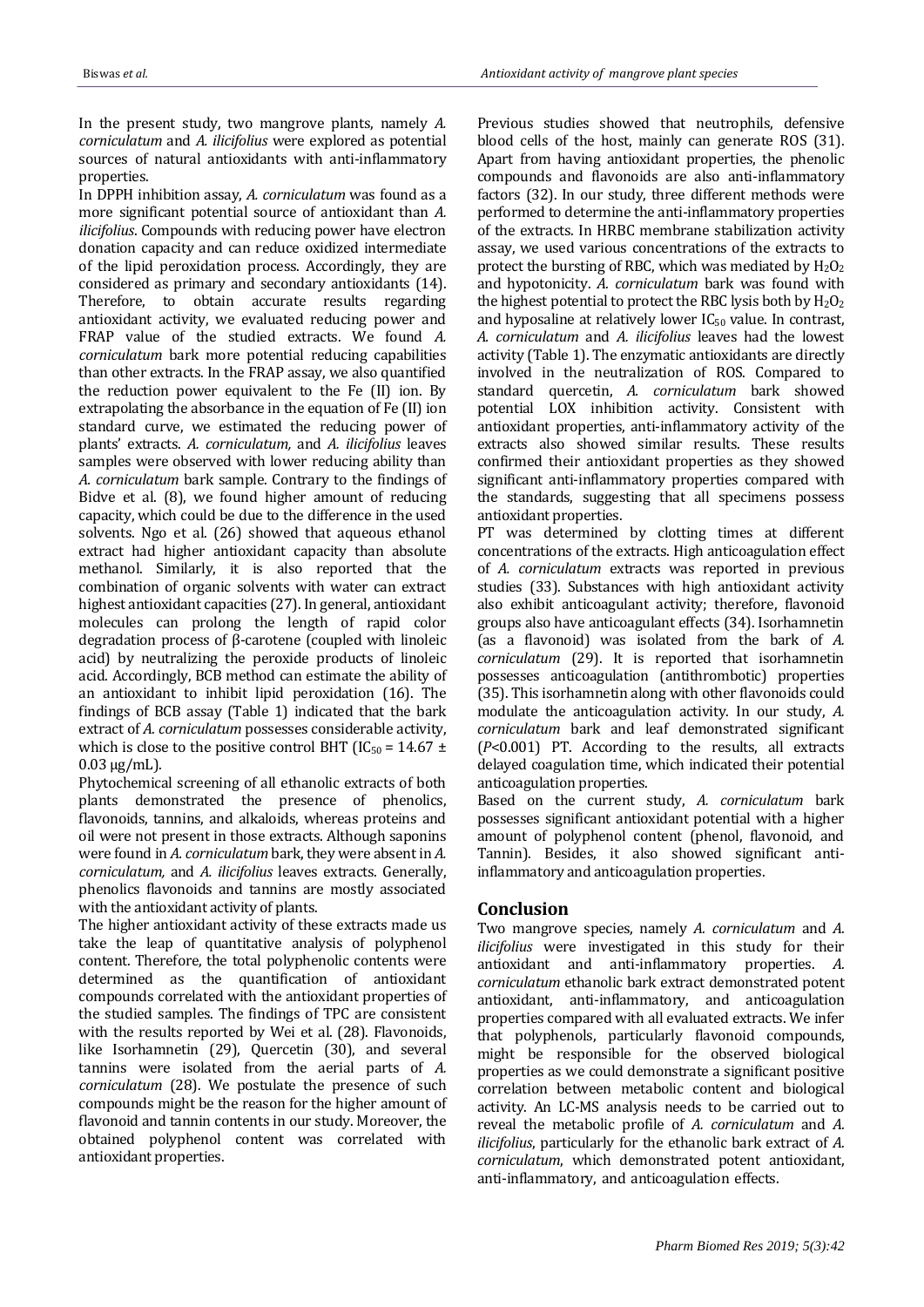In the present study, two mangrove plants, namely *A. corniculatum* and *A. ilicifolius* were explored as potential sources of natural antioxidants with anti-inflammatory properties.

In DPPH inhibition assay, *A. corniculatum* was found as a more significant potential source of antioxidant than *A. ilicifolius*. Compounds with reducing power have electron donation capacity and can reduce oxidized intermediate of the lipid peroxidation process. Accordingly, they are considered as primary and secondary antioxidants (14). Therefore, to obtain accurate results regarding antioxidant activity, we evaluated reducing power and FRAP value of the studied extracts. We found *A. corniculatum* bark more potential reducing capabilities than other extracts. In the FRAP assay, we also quantified the reduction power equivalent to the Fe (II) ion. By extrapolating the absorbance in the equation of Fe (II) ion standard curve, we estimated the reducing power of plants' extracts. *A. corniculatum,* and *A. ilicifolius* leaves samples were observed with lower reducing ability than *A. corniculatum* bark sample. Contrary to the findings of Bidve et al. (8), we found higher amount of reducing capacity, which could be due to the difference in the used solvents. Ngo et al. (26) showed that aqueous ethanol extract had higher antioxidant capacity than absolute methanol. Similarly, it is also reported that the combination of organic solvents with water can extract highest antioxidant capacities (27). In general, antioxidant molecules can prolong the length of rapid color degradation process of β-carotene (coupled with linoleic acid) by neutralizing the peroxide products of linoleic acid. Accordingly, BCB method can estimate the ability of an antioxidant to inhibit lipid peroxidation (16). The findings of BCB assay (Table 1) indicated that the bark extract of *A. corniculatum* possesses considerable activity, which is close to the positive control BHT ( $IC_{50} = 14.67 \pm$  $0.03 \mu g/mL$ ).

Phytochemical screening of all ethanolic extracts of both plants demonstrated the presence of phenolics, flavonoids, tannins, and alkaloids, whereas proteins and oil were not present in those extracts. Although saponins were found in *A. corniculatum* bark, they were absent in *A. corniculatum,* and *A. ilicifolius* leaves extracts. Generally, phenolics flavonoids and tannins are mostly associated with the antioxidant activity of plants.

The higher antioxidant activity of these extracts made us take the leap of quantitative analysis of polyphenol content. Therefore, the total polyphenolic contents were determined as the quantification of antioxidant compounds correlated with the antioxidant properties of the studied samples. The findings of TPC are consistent with the results reported by Wei et al. (28). Flavonoids, like Isorhamnetin (29), Quercetin (30), and several tannins were isolated from the aerial parts of *A. corniculatum* (28). We postulate the presence of such compounds might be the reason for the higher amount of flavonoid and tannin contents in our study. Moreover, the obtained polyphenol content was correlated with antioxidant properties.

Previous studies showed that neutrophils, defensive blood cells of the host, mainly can generate ROS (31). Apart from having antioxidant properties, the phenolic compounds and flavonoids are also anti-inflammatory factors (32). In our study, three different methods were performed to determine the anti-inflammatory properties of the extracts. In HRBC membrane stabilization activity assay, we used various concentrations of the extracts to protect the bursting of RBC, which was mediated by  $H_2O_2$ and hypotonicity. *A. corniculatum* bark was found with the highest potential to protect the RBC lysis both by  $H_2O_2$ and hyposaline at relatively lower IC<sub>50</sub> value. In contrast, *A. corniculatum* and *A. ilicifolius* leaves had the lowest activity (Table 1). The enzymatic antioxidants are directly involved in the neutralization of ROS. Compared to standard quercetin, *A. corniculatum* bark showed potential LOX inhibition activity. Consistent with antioxidant properties, anti-inflammatory activity of the extracts also showed similar results. These results confirmed their antioxidant properties as they showed significant anti-inflammatory properties compared with the standards, suggesting that all specimens possess antioxidant properties.

PT was determined by clotting times at different concentrations of the extracts. High anticoagulation effect of *A. corniculatum* extracts was reported in previous studies (33). Substances with high antioxidant activity also exhibit anticoagulant activity; therefore, flavonoid groups also have anticoagulant effects (34). Isorhamnetin (as a flavonoid) was isolated from the bark of *A. corniculatum* (29). It is reported that isorhamnetin possesses anticoagulation (antithrombotic) properties (35). This isorhamnetin along with other flavonoids could modulate the anticoagulation activity. In our study, *A. corniculatum* bark and leaf demonstrated significant (*P*<0.001) PT. According to the results, all extracts delayed coagulation time, which indicated their potential anticoagulation properties.

Based on the current study, *A. corniculatum* bark possesses significant antioxidant potential with a higher amount of polyphenol content (phenol, flavonoid, and Tannin). Besides, it also showed significant antiinflammatory and anticoagulation properties.

## **Conclusion**

Two mangrove species, namely *A. corniculatum* and *A. ilicifolius* were investigated in this study for their antioxidant and anti-inflammatory properties. *A. corniculatum* ethanolic bark extract demonstrated potent antioxidant, anti-inflammatory, and anticoagulation properties compared with all evaluated extracts. We infer that polyphenols, particularly flavonoid compounds, might be responsible for the observed biological properties as we could demonstrate a significant positive correlation between metabolic content and biological activity. An LC-MS analysis needs to be carried out to reveal the metabolic profile of *A. corniculatum* and *A. ilicifolius*, particularly for the ethanolic bark extract of *A. corniculatum*, which demonstrated potent antioxidant, anti-inflammatory, and anticoagulation effects.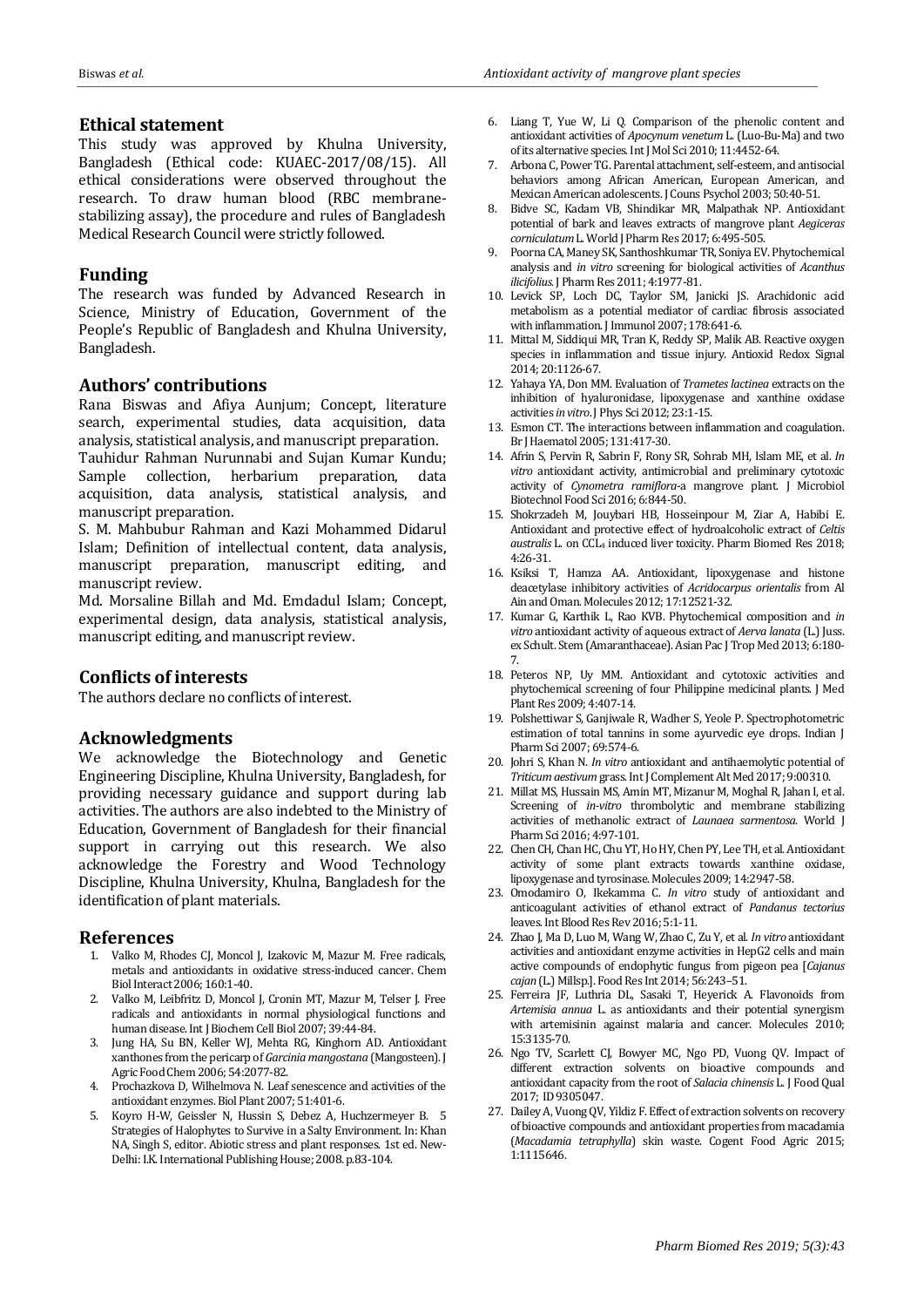## **Ethical statement**

This study was approved by Khulna University, Bangladesh (Ethical code: KUAEC-2017/08/15). All ethical considerations were observed throughout the research. To draw human blood (RBC membranestabilizing assay), the procedure and rules of Bangladesh Medical Research Council were strictly followed.

# **Funding**

The research was funded by Advanced Research in Science, Ministry of Education, Government of the People's Republic of Bangladesh and Khulna University, Bangladesh.

# **Authors' contributions**

Rana Biswas and Afiya Aunjum; Concept, literature search, experimental studies, data acquisition, data analysis, statistical analysis, and manuscript preparation.

Tauhidur Rahman Nurunnabi and Sujan Kumar Kundu; Sample collection, herbarium preparation, data acquisition, data analysis, statistical analysis, and manuscript preparation.

S. M. Mahbubur Rahman and Kazi Mohammed Didarul Islam; Definition of intellectual content, data analysis, manuscript preparation, manuscript editing, and manuscript review.

Md. Morsaline Billah and Md. Emdadul Islam; Concept, experimental design, data analysis, statistical analysis, manuscript editing, and manuscript review.

## **Conflicts of interests**

The authors declare no conflicts of interest.

## **Acknowledgments**

We acknowledge the Biotechnology and Genetic Engineering Discipline, Khulna University, Bangladesh, for providing necessary guidance and support during lab activities. The authors are also indebted to the Ministry of Education, Government of Bangladesh for their financial support in carrying out this research. We also acknowledge the Forestry and Wood Technology Discipline, Khulna University, Khulna, Bangladesh for the identification of plant materials.

#### **References**

- 1. Valko M, Rhodes CJ, Moncol J, Izakovic M, Mazur M. Free radicals, metals and antioxidants in oxidative stress-induced cancer. Chem Biol Interact 2006; 160:1-40.
- 2. Valko M, Leibfritz D, Moncol J, Cronin MT, Mazur M, Telser J. Free radicals and antioxidants in normal physiological functions and human disease. Int J Biochem Cell Biol 2007; 39:44-84.
- 3. Jung HA, Su BN, Keller WJ, Mehta RG, Kinghorn AD. Antioxidant xanthones from the pericarp of *Garcinia mangostana* (Mangosteen). J Agric Food Chem 2006; 54:2077-82.
- 4. Prochazkova D, Wilhelmova N. Leaf senescence and activities of the antioxidant enzymes. Biol Plant 2007; 51:401-6.
- 5. Koyro H-W, Geissler N, Hussin S, Debez A, Huchzermeyer B. 5 Strategies of Halophytes to Survive in a Salty Environment. In: Khan NA, Singh S, editor. Abiotic stress and plant responses. 1st ed. New-Delhi: I.K.International Publishing House; 2008. p.83-104.
- 6. Liang T, Yue W, Li Q. Comparison of the phenolic content and antioxidant activities of *Apocynum venetum* L. (Luo-Bu-Ma) and two of its alternative species. Int J Mol Sci 2010; 11:4452-64.
- 7. Arbona C, Power TG. Parental attachment, self-esteem, and antisocial behaviors among African American, European American, and Mexican American adolescents. J Couns Psychol 2003; 50:40-51.
- 8. Bidve SC, Kadam VB, Shindikar MR, Malpathak NP. Antioxidant potential of bark and leaves extracts of mangrove plant *Aegiceras corniculatum*L. World J Pharm Res 2017; 6:495-505.
- 9. Poorna CA, Maney SK, Santhoshkumar TR, Soniya EV. Phytochemical analysis and *in vitro* screening for biological activities of *Acanthus ilicifolius*. J Pharm Res 2011; 4:1977-81.
- 10. Levick SP, Loch DC, Taylor SM, Janicki JS. Arachidonic acid metabolism as a potential mediator of cardiac fibrosis associated with inflammation. J Immunol 2007; 178:641-6.
- 11. Mittal M, Siddiqui MR, Tran K, Reddy SP, Malik AB. Reactive oxygen species in inflammation and tissue injury. Antioxid Redox Signal 2014; 20:1126-67.
- 12. Yahaya YA, Don MM. Evaluation of *Trametes lactinea* extracts on the inhibition of hyaluronidase, lipoxygenase and xanthine oxidase activities *in vitro*. J Phys Sci 2012; 23:1-15.
- 13. Esmon CT. The interactions between inflammation and coagulation. Br J Haematol 2005; 131:417-30.
- 14. Afrin S, Pervin R, Sabrin F, Rony SR, Sohrab MH, Islam ME, et al. *In vitro* antioxidant activity, antimicrobial and preliminary cytotoxic activity of *Cynometra ramiflora*-a mangrove plant. J Microbiol Biotechnol Food Sci 2016; 6:844-50.
- 15. Shokrzadeh M, Jouybari HB, Hosseinpour M, Ziar A, Habibi E. Antioxidant and protective effect of hydroalcoholic extract of *Celtis australis* L. on CCL<sup>4</sup> induced liver toxicity. Pharm Biomed Res 2018; 4:26-31.
- 16. Ksiksi T, Hamza AA. Antioxidant, lipoxygenase and histone deacetylase inhibitory activities of *Acridocarpus orientalis* from Al Ain and Oman. Molecules 2012; 17:12521-32.
- 17. Kumar G, Karthik L, Rao KVB. Phytochemical composition and *in vitro* antioxidant activity of aqueous extract of *Aerva lanata* (L.) Juss. ex Schult. Stem (Amaranthaceae). Asian Pac J Trop Med 2013; 6:180- 7.
- 18. Peteros NP, Uy MM. Antioxidant and cytotoxic activities and phytochemical screening of four Philippine medicinal plants. J Med Plant Res 2009; 4:407-14.
- 19. Polshettiwar S, Ganjiwale R, Wadher S, Yeole P. Spectrophotometric estimation of total tannins in some avurvedic eve drops. Indian I Pharm Sci 2007; 69:574-6.
- 20. Johri S, Khan N. *In vitro* antioxidant and antihaemolytic potential of *Triticum aestivum* grass. Int J Complement Alt Med 2017; 9:00310.
- 21. Millat MS, Hussain MS, Amin MT, Mizanur M, Moghal R, Jahan I, et al. Screening of *in-vitro* thrombolytic and membrane stabilizing activities of methanolic extract of *Launaea sarmentosa*. World J Pharm Sci 2016; 4:97-101.
- 22. Chen CH, Chan HC, Chu YT, Ho HY, Chen PY, Lee TH, et al. Antioxidant activity of some plant extracts towards xanthine oxidase, lipoxygenase and tyrosinase. Molecules 2009; 14:2947-58.
- 23. Omodamiro O, Ikekamma C. *In vitro* study of antioxidant and anticoagulant activities of ethanol extract of *Pandanus tectorius* leaves. Int Blood Res Rev 2016; 5:1-11.
- 24. Zhao J, Ma D, Luo M, Wang W, Zhao C, Zu Y, et al. *In vitro* antioxidant activities and antioxidant enzyme activities in HepG2 cells and main active compounds of endophytic fungus from pigeon pea [*Cajanus cajan* (L.) Millsp.]. Food Res Int 2014; 56:243–51.
- 25. Ferreira JF, Luthria DL, Sasaki T, Heyerick A. Flavonoids from *Artemisia annua* L. as antioxidants and their potential synergism with artemisinin against malaria and cancer. Molecules 2010; 15:3135-70.
- 26. Ngo TV, Scarlett CJ, Bowyer MC, Ngo PD, Vuong QV. Impact of different extraction solvents on bioactive compounds and antioxidant capacity from the root of *Salacia chinensis* L. J Food Qual 2017; ID 9305047.
- 27. Dailey A, Vuong QV, Yildiz F. Effect of extraction solvents on recovery of bioactive compounds and antioxidant properties from macadamia (*Macadamia tetraphylla*) skin waste. Cogent Food Agric 2015; 1:1115646.